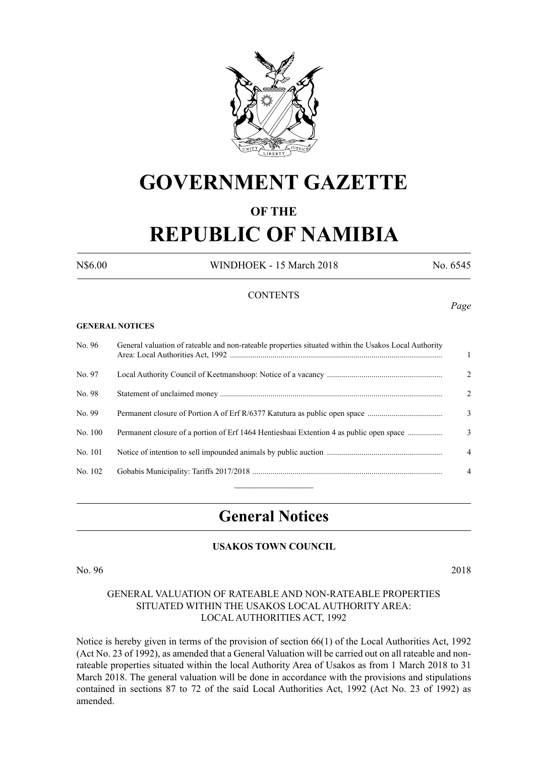

## **GOVERNMENT GAZETTE**

#### **OF THE**

# **REPUBLIC OF NAMIBIA**

N\$6.00 WINDHOEK - 15 March 2018 No. 6545

*Page*

#### **CONTENTS**

#### **GENERAL NOTICES**

| No. 96  | General valuation of rateable and non-rateable properties situated within the Usakos Local Authority | $\mathbf{1}$   |
|---------|------------------------------------------------------------------------------------------------------|----------------|
| No. 97  |                                                                                                      | 2              |
| No. 98  |                                                                                                      | 2              |
| No. 99  | Permanent closure of Portion A of Erf R/6377 Katutura as public open space                           | 3              |
| No. 100 | Permanent closure of a portion of Erf 1464 Hentiesbaai Extention 4 as public open space              | 3              |
| No. 101 |                                                                                                      | $\overline{4}$ |
| No. 102 |                                                                                                      | $\overline{4}$ |
|         |                                                                                                      |                |

### **General Notices**

#### **USAKOS TOWN COUNCIL**

No. 96 2018

#### GENERAL VALUATION OF RATEABLE AND NON-RATEABLE PROPERTIES SITUATED WITHIN THE USAKOS LOCAL AUTHORITY AREA: LOCAL AUTHORITIES ACT, 1992

Notice is hereby given in terms of the provision of section 66(1) of the Local Authorities Act, 1992 (Act No. 23 of 1992), as amended that a General Valuation will be carried out on all rateable and nonrateable properties situated within the local Authority Area of Usakos as from 1 March 2018 to 31 March 2018. The general valuation will be done in accordance with the provisions and stipulations contained in sections 87 to 72 of the said Local Authorities Act, 1992 (Act No. 23 of 1992) as amended.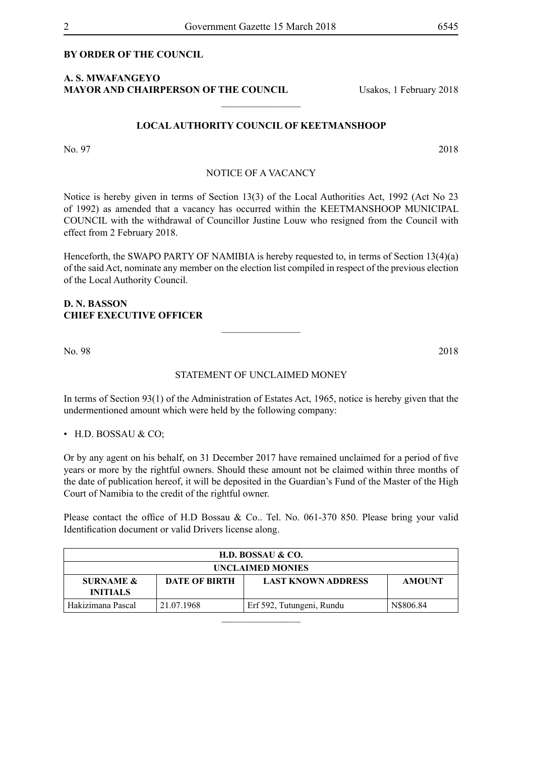#### **BY ORDER OF THE COUNCIL**

#### **A. S. MWAFANGEYO MAYOR AND CHAIRPERSON OF THE COUNCIL** Usakos, 1 February 2018

#### **LOCAL AUTHORITY COUNCIL OF KEETMANSHOOP**

 $\overline{\phantom{a}}$  , where  $\overline{\phantom{a}}$ 

No. 97 2018

#### NOTICE OF A VACANCY

Notice is hereby given in terms of Section 13(3) of the Local Authorities Act, 1992 (Act No 23 of 1992) as amended that a vacancy has occurred within the KEETMANSHOOP MUNICIPAL COUNCIL with the withdrawal of Councillor Justine Louw who resigned from the Council with effect from 2 February 2018.

Henceforth, the SWAPO PARTY OF NAMIBIA is hereby requested to, in terms of Section 13(4)(a) of the said Act, nominate any member on the election list compiled in respect of the previous election of the Local Authority Council.

#### **D. N. BASSON CHIEF EXECUTIVE OFFICER**

No. 98 2018

#### STATEMENT OF UNCLAIMED MONEY

 $\overline{\phantom{a}}$  , where  $\overline{\phantom{a}}$ 

In terms of Section 93(1) of the Administration of Estates Act, 1965, notice is hereby given that the undermentioned amount which were held by the following company:

• H.D. BOSSAU & CO;

Or by any agent on his behalf, on 31 December 2017 have remained unclaimed for a period of five years or more by the rightful owners. Should these amount not be claimed within three months of the date of publication hereof, it will be deposited in the Guardian's Fund of the Master of the High Court of Namibia to the credit of the rightful owner.

Please contact the office of H.D Bossau & Co.. Tel. No. 061-370 850. Please bring your valid Identification document or valid Drivers license along.

| H.D. BOSSAU & CO.                       |                      |                           |               |  |  |  |  |
|-----------------------------------------|----------------------|---------------------------|---------------|--|--|--|--|
| <b>UNCLAIMED MONIES</b>                 |                      |                           |               |  |  |  |  |
| <b>SURNAME &amp;</b><br><b>INITIALS</b> | <b>DATE OF BIRTH</b> | <b>LAST KNOWN ADDRESS</b> | <b>AMOUNT</b> |  |  |  |  |
| Hakizimana Pascal                       | 21.07.1968           | Erf 592, Tutungeni, Rundu | N\$806.84     |  |  |  |  |
|                                         |                      |                           |               |  |  |  |  |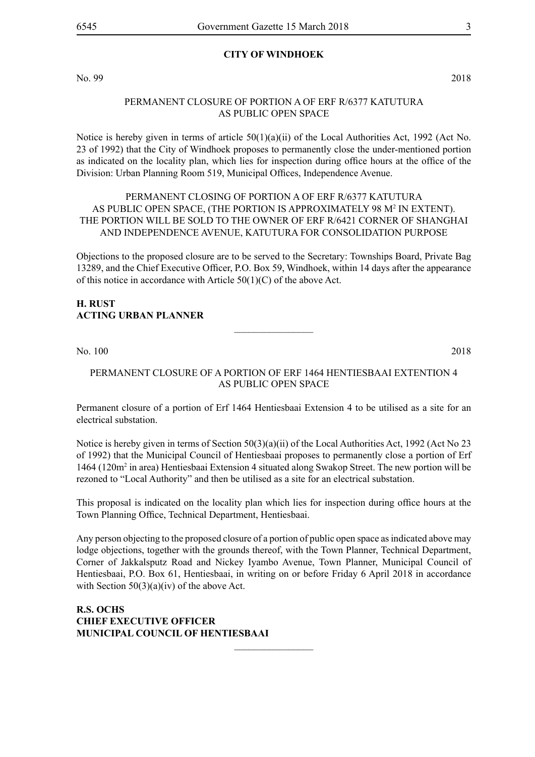#### **CITY OF WINDHOEK**

No. 99 2018

#### PERMANENT CLOSURE OF PORTION A OF ERF R/6377 KATUTURA AS PUBLIC OPEN SPACE

Notice is hereby given in terms of article  $50(1)(a)(ii)$  of the Local Authorities Act, 1992 (Act No. 23 of 1992) that the City of Windhoek proposes to permanently close the under-mentioned portion as indicated on the locality plan, which lies for inspection during office hours at the office of the Division: Urban Planning Room 519, Municipal Offices, Independence Avenue.

#### PERMANENT CLOSING OF PORTION A OF ERF R/6377 KATUTURA AS PUBLIC OPEN SPACE, (THE PORTION IS APPROXIMATELY 98 M<sup>2</sup> IN EXTENT). THE PORTION WILL BE SOLD TO THE OWNER OF ERF R/6421 CORNER OF SHANGHAI AND INDEPENDENCE AVENUE, KATUTURA FOR CONSOLIDATION PURPOSE

Objections to the proposed closure are to be served to the Secretary: Townships Board, Private Bag 13289, and the Chief Executive Officer, P.O. Box 59, Windhoek, within 14 days after the appearance of this notice in accordance with Article 50(1)(C) of the above Act.

#### **H. RUST ACTING URBAN PLANNER**

No. 100 2018

#### Permanent closure of a portion of Erf 1464 Hentiesbaai Extention 4 as public open space

 $\overline{\phantom{a}}$  , where  $\overline{\phantom{a}}$ 

Permanent closure of a portion of Erf 1464 Hentiesbaai Extension 4 to be utilised as a site for an electrical substation.

Notice is hereby given in terms of Section 50(3)(a)(ii) of the Local Authorities Act, 1992 (Act No 23 of 1992) that the Municipal Council of Hentiesbaai proposes to permanently close a portion of Erf 1464 (120m2 in area) Hentiesbaai Extension 4 situated along Swakop Street. The new portion will be rezoned to "Local Authority" and then be utilised as a site for an electrical substation.

This proposal is indicated on the locality plan which lies for inspection during office hours at the Town Planning Office, Technical Department, Hentiesbaai.

Any person objecting to the proposed closure of a portion of public open space as indicated above may lodge objections, together with the grounds thereof, with the Town Planner, Technical Department, Corner of Jakkalsputz Road and Nickey Iyambo Avenue, Town Planner, Municipal Council of Hentiesbaai, P.O. Box 61, Hentiesbaai, in writing on or before Friday 6 April 2018 in accordance with Section 50(3)(a)(iv) of the above Act.

 $\frac{1}{2}$ 

**R.S. OCHS Chief Executive Officer Municipal Council of Hentiesbaai**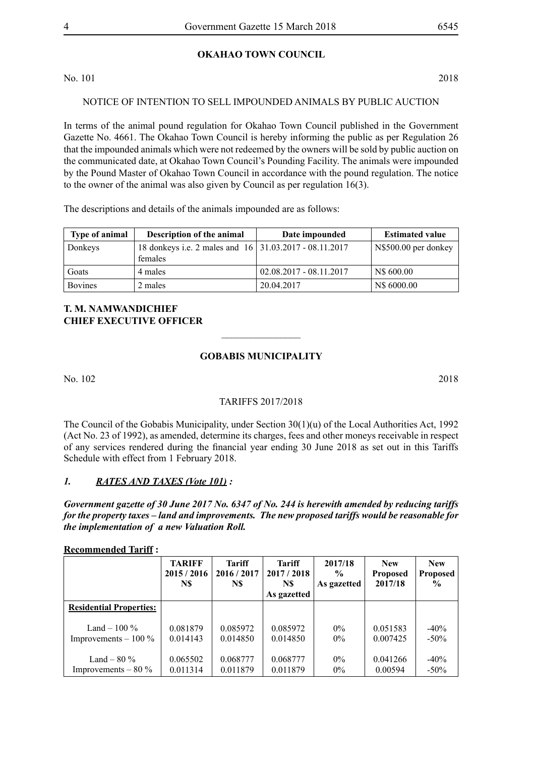#### **OKAHAO TOWN COUNCIL**

No. 101 2018

#### NOTICE OF INTENTION TO SELL IMPOUNDED ANIMALS BY PUBLIC AUCTION

In terms of the animal pound regulation for Okahao Town Council published in the Government Gazette No. 4661. The Okahao Town Council is hereby informing the public as per Regulation 26 that the impounded animals which were not redeemed by the owners will be sold by public auction on the communicated date, at Okahao Town Council's Pounding Facility. The animals were impounded by the Pound Master of Okahao Town Council in accordance with the pound regulation. The notice to the owner of the animal was also given by Council as per regulation 16(3).

The descriptions and details of the animals impounded are as follows:

| <b>Type of animal</b> | <b>Description of the animal</b>                         | Date impounded            | <b>Estimated value</b> |
|-----------------------|----------------------------------------------------------|---------------------------|------------------------|
| Donkeys               | 18 donkeys i.e. 2 males and 16   31.03.2017 - 08.11.2017 |                           | N\$500.00 per donkey   |
|                       | females                                                  |                           |                        |
| Goats                 | 4 males                                                  | $02.08.2017 - 08.11.2017$ | N\$ 600.00             |
| <b>Bovines</b>        | 2 males                                                  | 20.04.2017                | N\$ 6000.00            |

#### **T. M. NAMWANDICHIEF CHIEF EXECUTIVE OFFICER**

#### **GOBABIS MUNICIPALITY**

 $\overline{\phantom{a}}$  , where  $\overline{\phantom{a}}$ 

No. 102 2018

#### TARIFFS 2017/2018

The Council of the Gobabis Municipality, under Section 30(1)(u) of the Local Authorities Act, 1992 (Act No. 23 of 1992), as amended, determine its charges, fees and other moneys receivable in respect of any services rendered during the financial year ending 30 June 2018 as set out in this Tariffs Schedule with effect from 1 February 2018.

#### *1. RATES AND TAXES (Vote 101) :*

*Government gazette of 30 June 2017 No. 6347 of No. 244 is herewith amended by reducing tariffs for the property taxes – land and improvements. The new proposed tariffs would be reasonable for the implementation of a new Valuation Roll.* 

**Recommended Tariff :** 

|                                | <b>TARIFF</b><br>2015/2016<br>N\$ | <b>Tariff</b><br>2016 / 2017<br>N\$ | <b>Tariff</b><br>2017/2018<br>N\$<br>As gazetted | 2017/18<br>$\frac{0}{0}$<br>As gazetted | <b>New</b><br><b>Proposed</b><br>2017/18 | <b>New</b><br><b>Proposed</b><br>$\frac{0}{0}$ |
|--------------------------------|-----------------------------------|-------------------------------------|--------------------------------------------------|-----------------------------------------|------------------------------------------|------------------------------------------------|
| <b>Residential Properties:</b> |                                   |                                     |                                                  |                                         |                                          |                                                |
| Land $-100\%$                  | 0.081879                          | 0.085972                            | 0.085972                                         | $0\%$                                   | 0.051583                                 | $-40%$                                         |
| Improvements $-100\%$          | 0.014143                          | 0.014850                            | 0.014850                                         | $0\%$                                   | 0.007425                                 | $-50\%$                                        |
| Land $-80\%$                   | 0.065502                          | 0.068777                            | 0.068777                                         | $0\%$                                   | 0.041266                                 | $-40%$                                         |
| Improvements $-80\%$           | 0.011314                          | 0.011879                            | 0.011879                                         | $0\%$                                   | 0.00594                                  | $-50\%$                                        |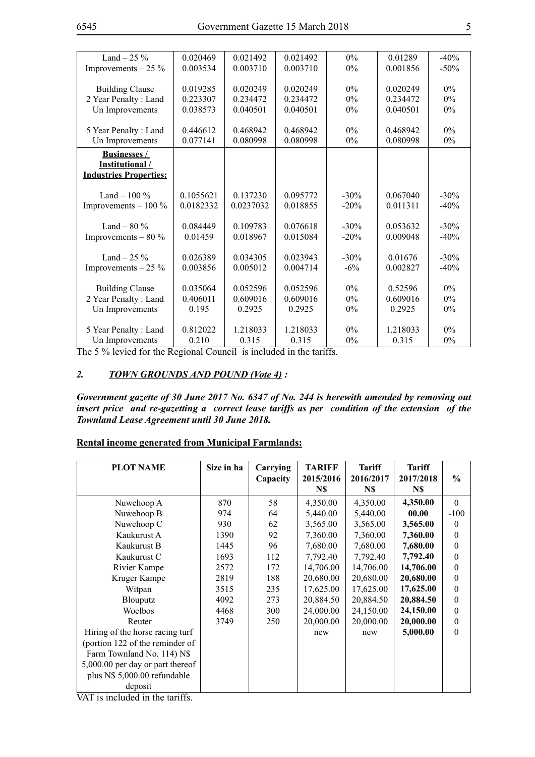| Land $-25\%$                  | 0.020469  | 0.021492  | 0.021492 | $0\%$   | 0.01289  | $-40%$  |
|-------------------------------|-----------|-----------|----------|---------|----------|---------|
| Improvements $-25\%$          | 0.003534  | 0.003710  | 0.003710 | $0\%$   | 0.001856 | $-50\%$ |
|                               |           |           |          |         |          |         |
| <b>Building Clause</b>        | 0.019285  | 0.020249  | 0.020249 | $0\%$   | 0.020249 | $0\%$   |
| 2 Year Penalty: Land          | 0.223307  | 0.234472  | 0.234472 | $0\%$   | 0.234472 | $0\%$   |
| Un Improvements               | 0.038573  | 0.040501  | 0.040501 | $0\%$   | 0.040501 | $0\%$   |
|                               |           |           |          |         |          |         |
| 5 Year Penalty: Land          | 0.446612  | 0.468942  | 0.468942 | 0%      | 0.468942 | $0\%$   |
| Un Improvements               | 0.077141  | 0.080998  | 0.080998 | $0\%$   | 0.080998 | $0\%$   |
| <b>Businesses /</b>           |           |           |          |         |          |         |
| Institutional/                |           |           |          |         |          |         |
| <b>Industries Properties:</b> |           |           |          |         |          |         |
|                               |           |           |          |         |          |         |
| Land $-100\%$                 | 0.1055621 | 0.137230  | 0.095772 | $-30\%$ | 0.067040 | $-30\%$ |
| Improvements $-100\%$         | 0.0182332 | 0.0237032 | 0.018855 | $-20%$  | 0.011311 | $-40%$  |
|                               |           |           |          |         |          |         |
| Land – $80\%$                 | 0.084449  | 0.109783  | 0.076618 | $-30%$  | 0.053632 | $-30%$  |
| Improvements $-80\%$          | 0.01459   | 0.018967  | 0.015084 | $-20%$  | 0.009048 | $-40%$  |
|                               |           |           |          |         |          |         |
| Land $-25\%$                  | 0.026389  | 0.034305  | 0.023943 | $-30%$  | 0.01676  | $-30%$  |
| Improvements $-25\%$          | 0.003856  | 0.005012  | 0.004714 | $-6\%$  | 0.002827 | $-40%$  |
|                               |           |           |          |         |          |         |
| <b>Building Clause</b>        | 0.035064  | 0.052596  | 0.052596 | 0%      | 0.52596  | $0\%$   |
| 2 Year Penalty: Land          | 0.406011  | 0.609016  | 0.609016 | $0\%$   | 0.609016 | $0\%$   |
| Un Improvements               | 0.195     | 0.2925    | 0.2925   | 0%      | 0.2925   | $0\%$   |
|                               |           |           |          |         |          |         |
| 5 Year Penalty: Land          | 0.812022  | 1.218033  | 1.218033 | $0\%$   | 1.218033 | $0\%$   |
| Un Improvements               | 0.210     | 0.315     | 0.315    | 0%      | 0.315    | $0\%$   |

The 5 % levied for the Regional Council is included in the tariffs.

#### *2. TOWN GROUNDS AND POUND (Vote 4) :*

*Government gazette of 30 June 2017 No. 6347 of No. 244 is herewith amended by removing out insert price and re-gazetting a correct lease tariffs as per condition of the extension of the Townland Lease Agreement until 30 June 2018.* 

#### **Rental income generated from Municipal Farmlands:**

| <b>PLOT NAME</b>                                           | Size in ha | Carrying | <b>TARIFF</b> | <b>Tariff</b> | <b>Tariff</b> |                  |
|------------------------------------------------------------|------------|----------|---------------|---------------|---------------|------------------|
|                                                            |            | Capacity | 2015/2016     | 2016/2017     | 2017/2018     | $\frac{6}{6}$    |
|                                                            |            |          | N\$           | N\$           | N\$           |                  |
| Nuwehoop A                                                 | 870        | 58       | 4,350.00      | 4,350.00      | 4,350.00      | $\Omega$         |
| Nuwehoop B                                                 | 974        | 64       | 5,440.00      | 5,440.00      | 00.00         | $-100$           |
| Nuwehoop C                                                 | 930        | 62       | 3,565.00      | 3,565.00      | 3,565.00      | $\theta$         |
| Kaukurust A                                                | 1390       | 92       | 7,360.00      | 7,360.00      | 7,360.00      | $\mathbf{0}$     |
| Kaukurust B                                                | 1445       | 96       | 7,680.00      | 7,680.00      | 7,680.00      | $\theta$         |
| Kaukurust C                                                | 1693       | 112      | 7,792.40      | 7,792.40      | 7,792.40      | $\theta$         |
| Rivier Kampe                                               | 2572       | 172      | 14,706.00     | 14,706.00     | 14,706.00     | $\theta$         |
| Kruger Kampe                                               | 2819       | 188      | 20,680.00     | 20,680.00     | 20,680.00     | $\boldsymbol{0}$ |
| Witpan                                                     | 3515       | 235      | 17,625.00     | 17,625.00     | 17,625.00     | $\mathbf{0}$     |
| Blouputz                                                   | 4092       | 273      | 20,884.50     | 20,884.50     | 20,884.50     | $\theta$         |
| Woelbos                                                    | 4468       | 300      | 24,000.00     | 24,150.00     | 24,150.00     | $\boldsymbol{0}$ |
| Reuter                                                     | 3749       | 250      | 20,000.00     | 20,000.00     | 20,000.00     | $\mathbf{0}$     |
| Hiring of the horse racing turf                            |            |          | new           | new           | 5,000.00      | $\theta$         |
| (portion 122 of the reminder of                            |            |          |               |               |               |                  |
| Farm Townland No. 114) N\$                                 |            |          |               |               |               |                  |
| 5,000.00 per day or part thereof                           |            |          |               |               |               |                  |
| plus N\$ 5,000.00 refundable                               |            |          |               |               |               |                  |
| deposit<br>$\overline{\phantom{a}}$<br>$\overline{\cdots}$ |            |          |               |               |               |                  |

VAT is included in the tariffs.